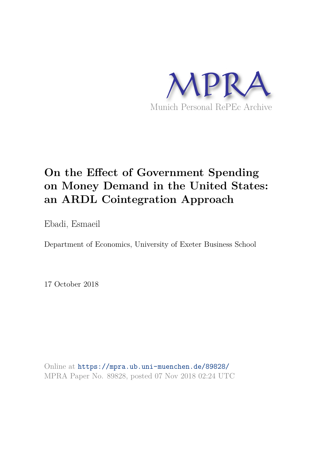

# **On the Effect of Government Spending on Money Demand in the United States: an ARDL Cointegration Approach**

Ebadi, Esmaeil

Department of Economics, University of Exeter Business School

17 October 2018

Online at https://mpra.ub.uni-muenchen.de/89828/ MPRA Paper No. 89828, posted 07 Nov 2018 02:24 UTC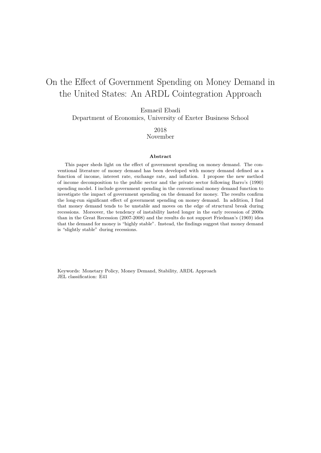## On the Effect of Government Spending on Money Demand in the United States: An ARDL Cointegration Approach

Esmaeil Ebadi

Department of Economics, University of Exeter Business School

2018 November

#### Abstract

This paper sheds light on the effect of government spending on money demand. The conventional literature of money demand has been developed with money demand defined as a function of income, interest rate, exchange rate, and inflation. I propose the new method of income decomposition to the public sector and the private sector following Barro's (1990) spending model. I include government spending in the conventional money demand function to investigate the impact of government spending on the demand for money. The results confirm the long-run significant effect of government spending on money demand. In addition, I find that money demand tends to be unstable and moves on the edge of structural break during recessions. Moreover, the tendency of instability lasted longer in the early recession of 2000s than in the Great Recession (2007-2008) and the results do not support Friedman's (1969) idea that the demand for money is "highly stable". Instead, the findings suggest that money demand is "slightly stable" during recessions.

Keywords: Monetary Policy, Money Demand, Stability, ARDL Approach JEL classification: E41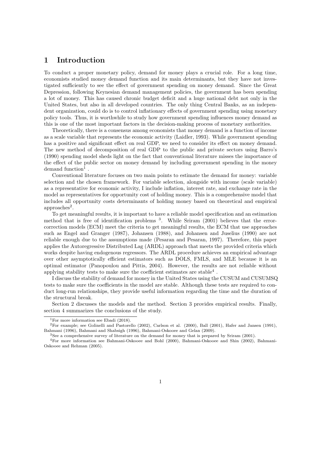#### 1 Introduction

To conduct a proper monetary policy, demand for money plays a crucial role. For a long time, economists studied money demand function and its main determinants, but they have not investigated sufficiently to see the effect of government spending on money demand. Since the Great Depression, following Keynesian demand management policies, the government has been spending a lot of money. This has caused chronic budget deficit and a huge national debt not only in the United States, but also in all developed countries. The only thing Central Banks, as an independent organization, could do is to control inflationary effects of government spending using monetary policy tools. Thus, it is worthwhile to study how government spending influences money demand as this is one of the most important factors in the decision-making process of monetary authorities.

Theoretically, there is a consensus among economists that money demand is a function of income as a scale variable that represents the economic activity (Laidler, 1993). While government spending has a positive and significant effect on real GDP, we need to consider its effect on money demand. The new method of decomposition of real GDP to the public and private sectors using Barro's (1990) spending model sheds light on the fact that conventional literature misses the importance of the effect of the public sector on money demand by including government spending in the money demand function<sup> $1$ </sup>.

Conventional literature focuses on two main points to estimate the demand for money: variable selection and the chosen framework. For variable selection, alongside with income (scale variable) as a representative for economic activity, I include inflation, interest rate, and exchange rate in the model as representatives for opportunity cost of holding money. This is a comprehensive model that includes all opportunity costs determinants of holding money based on theoretical and empirical approaches<sup>2</sup>.

To get meaningful results, it is important to have a reliable model specification and an estimation method that is free of identification problems <sup>3</sup>. While Sriram (2001) believes that the errorcorrection models (ECM) meet the criteria to get meaningful results, the ECM that use approaches such as Engel and Granger (1987), Johansen (1988), and Johansen and Juselius (1990) are not reliable enough due to the assumptions made (Pesaran and Pesaran, 1997). Therefore, this paper applies the Autoregressive Distributed Lag (ARDL) approach that meets the provided criteria which works despite having endogenous regressors. The ARDL procedure achieves an empirical advantage over other asymptotically efficient estimators such as DOLS, FMLS, and MLE because it is an optimal estimator (Panopoulou and Pittis, 2004). However, the results are not reliable without applying stability tests to make sure the coefficient estimates are stable  $4$  .

I discuss the stability of demand for money in the United States using the CUSUM and CUSUMSQ tests to make sure the coefficients in the model are stable. Although these tests are required to conduct long-run relationships, they provide useful information regarding the time and the duration of the structural break.

Section 2 discusses the models and the method. Section 3 provides empirical results. Finally, section 4 summarizes the conclusions of the study.

<sup>1</sup>For more information see Ebadi (2018).

<sup>2</sup>For example; see Golinelli and Pastorello (2002), Carlson et al. (2000), Ball (2001), Hafer and Jansen (1991), Bahmani (1996), Bahmani and Shabsigh (1996), Bahmani-Oskooee and Gelan (2009).

<sup>3</sup>See a comprehensive survey of literature on the demand for money that is prepared by Sriram (2001).

<sup>4</sup>For more information see Bahmani-Oskooee and Bohl (2000), Bahmani-Oskooee and Shin (2002), Bahmani-Oskooee and Rehman (2005).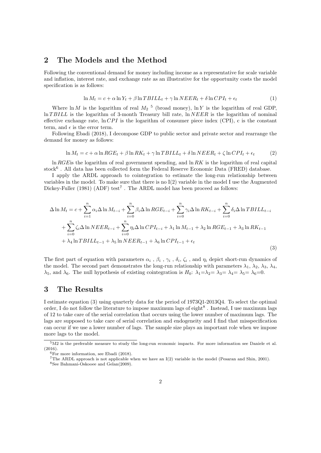#### 2 The Models and the Method

Following the conventional demand for money including income as a representative for scale variable and inflation, interest rate, and exchange rate as an illustrative for the opportunity costs the model specification is as follows:

$$
\ln M_t = c + \alpha \ln Y_t + \beta \ln T B I L L_t + \gamma \ln N E E R_t + \delta \ln C P I_t + \epsilon_t \tag{1}
$$

Where  $\ln M$  is the logarithm of real  $M_2$ <sup>5</sup> (broad money),  $\ln Y$  is the logarithm of real GDP,  $\ln T B I L L$  is the logarithm of 3-month Treasury bill rate,  $\ln N E E R$  is the logarithm of nominal effective exchange rate,  $\ln CPI$  is the logarithm of consumer piece index (CPI), c is the constant term, and  $\epsilon$  is the error term.

Following Ebadi (2018), I decompose GDP to public sector and private sector and rearrange the demand for money as follows:

$$
\ln M_t = c + \alpha \ln RGE_t + \beta \ln RK_t + \gamma \ln TBILL_t + \delta \ln NEER_t + \zeta \ln CPI_t + \epsilon_t \tag{2}
$$

 $\ln RGE$  is the logarithm of real government spending, and  $\ln RK$  is the logarithm of real capital stock<sup>6</sup>. All data has been collected form the Federal Reserve Economic Data (FRED) database.

I apply the ARDL approach to cointegration to estimate the long-run relationship between variables in the model. To make sure that there is no I(2) variable in the model I use the Augmented Dickey-Fuller (1981) (ADF) test<sup>7</sup>. The ARDL model has been proceed as follows:

$$
\Delta \ln M_t = c + \sum_{i=1}^n \alpha_i \Delta \ln M_{t-i} + \sum_{i=0}^n \beta_i \Delta \ln RGE_{t-i} + \sum_{i=0}^n \gamma_i \Delta \ln RK_{t-i} + \sum_{i=0}^n \delta_i \Delta \ln TBLL_{t-i} + \sum_{i=0}^n \zeta_i \Delta \ln NEER_{t-i} + \sum_{i=0}^n \eta_i \Delta \ln CPI_{t-i} + \lambda_1 \ln M_{t-1} + \lambda_2 \ln RGE_{t-1} + \lambda_3 \ln RK_{t-1} + \lambda_4 \ln TBLL_{t-1} + \lambda_5 \ln NEER_{t-1} + \lambda_6 \ln CPI_{t-1} + \epsilon_t
$$
\n(3)

The first part of equation with parameters  $\alpha_i$ ,  $\beta_i$ ,  $\gamma_i$ ,  $\delta_i$ ,  $\zeta_i$ , and  $\eta_i$  depict short-run dynamics of the model. The second part demonstrates the long-run relationship with parameters  $\lambda_1$ ,  $\lambda_2$ ,  $\lambda_3$ ,  $\lambda_4$ ,  $\lambda_5$ , and  $\lambda_6$ . The null hypothesis of existing cointegration is  $H_0$ :  $\lambda_1 = \lambda_2 = \lambda_3 = \lambda_4 = \lambda_5 = \lambda_6 = 0$ .

#### 3 The Results

I estimate equation (3) using quarterly data for the period of 1973Q1-2013Q4. To select the optimal order, I do not follow the literature to impose maximum lags of eight<sup>8</sup>. Instead, I use maximum lags of 12 to take care of the serial correlation that occurs using the lower number of maximum lags. The lags are supposed to take care of serial correlation and endogeneity and I find that misspecification can occur if we use a lower number of lags. The sample size plays an important role when we impose more lags to the model.

<sup>5</sup>M2 is the preferable measure to study the long-run economic impacts. For more information see Daniele et al. (2016).

 ${}^{6}$ For more information, see Ebadi (2018).

<sup>7</sup>The ARDL approach is not applicable when we have an I(2) variable in the model (Pesaran and Shin, 2001). <sup>8</sup>See Bahmani-Oskooee and Gelan(2009).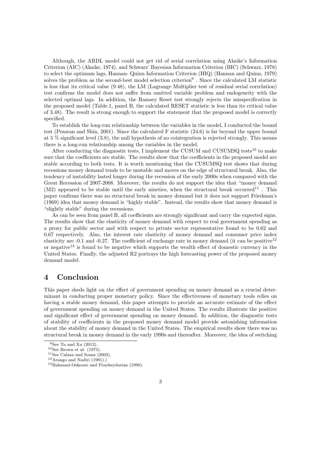Although, the ARDL model could not get rid of serial correlation using Akaike's Information Criterion (AIC) (Akaike, 1974), and Schwarz' Bayesian Information Criterion (BIC) (Schwarz, 1978) to select the optimum lags, Hannan- Quinn Information Criterion (HIQ) (Hannan and Quinn, 1979) solves the problem as the second-best model selection criterion<sup>9</sup>. Since the calculated LM statistic is less that its critical value (9.48), the LM (Lagrange Multiplier test of residual serial correlation) test confirms the model does not suffer from omitted variable problem and endogeneity with the selected optimal lags. In addition, the Ramsey Reset test strongly rejects the misspecification in the proposed model (Table.1, panel B, the calculated RESET statistic is less than its critical value of 3.48). The result is strong enough to support the statement that the proposed model is correctly specified.

To establish the long-run relationship between the variables in the model, I conducted the bound test (Pesaran and Shin, 2001). Since the calculated F statistic (24.6) is far beyond the upper bound at 5 % significant level (3.8), the null hypothesis of no cointegration is rejected strongly. This means there is a long-run relationship among the variables in the model.

After conducting the diagnostic tests, I implement the CUSUM and CUSUMSO tests<sup>10</sup> to make sure that the coefficients are stable. The results show that the coefficients in the proposed model are stable according to both tests. It is worth mentioning that the CUSUMSQ test shows that during recessions money demand tends to be unstable and moves on the edge of structural break. Also, the tendency of instability lasted longer during the recession of the early 2000s when compared with the Great Recession of 2007-2008. Moreover, the results do not support the idea that "money demand  $(M2)$  appeared to be stable until the early nineties, when the structural break occurred<sup>11</sup>. This paper confirms there was no structural break in money demand but it does not support Friedman's (1969) idea that money demand is "highly stable". Instead, the results show that money demand is "slightly stable" during the recessions.

As can be seen from panel B, all coefficients are strongly significant and carry the expected signs. The results show that the elasticity of money demand with respect to real government spending as a proxy for public sector and with respect to private sector representative found to be 0.62 and 0.67 respectively. Also, the interest rate elasticity of money demand and consumer price index elasticity are  $-0.1$  and  $-0.27$ . The coefficient of exchange rate in money demand (it can be positive<sup>12</sup>) or negative<sup>13</sup> is found to be negative which supports the wealth effect of domestic currency in the United States. Finally, the adjusted R2 portrays the high forecasting power of the proposed money demand model.

### 4 Conclusion

This paper sheds light on the effect of government spending on money demand as a crucial determinant in conducting proper monetary policy. Since the effectiveness of monetary tools relies on having a stable money demand, this paper attempts to provide an accurate estimate of the effect of government spending on money demand in the United States. The results illustrate the positive and significant effect of government spending on money demand. In addition, the diagnostic tests of stability of coefficients in the proposed money demand model provide astonishing information about the stability of money demand in the United States. The empirical results show there was no structural break in money demand in the early 1990s and thereafter. Moreover, the idea of switching

 $9$ See Tu and Xu (2012).

 $10$ See Brown et al. (1975).

 $11$ See Calaza and Sousa (2003). <sup>12</sup>Arango and Nadiri (1981).)

<sup>13</sup>Bahmani-Oskooee and Pourheydarian (1990).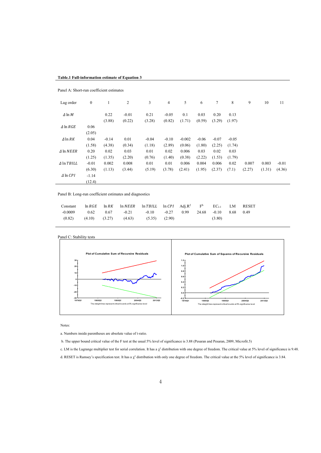| Table.1 Full-information estimate of Equation 3 |  |
|-------------------------------------------------|--|
|-------------------------------------------------|--|

| Lag order            | $\mathbf{0}$   | 1              | 2                 | 3              | $\overline{4}$    | 5               | 6              | 7              | 8              | 9      | 10     | 11      |
|----------------------|----------------|----------------|-------------------|----------------|-------------------|-----------------|----------------|----------------|----------------|--------|--------|---------|
| $\Delta$ ln M        |                | 0.22<br>(3.88) | $-0.01$<br>(0.22) | 0.21<br>(3.28) | $-0.05$<br>(0.82) | 0.1<br>(1.71)   | 0.03<br>(0.59) | 0.20<br>(3.29) | 0.13<br>(1.97) |        |        |         |
| $\Delta$ ln RGE      | 0.06<br>(2.05) |                |                   |                |                   |                 |                |                |                |        |        |         |
| $\triangle$ ln RK    | 0.04           | $-0.14$        | 0.01              | $-0.04$        | $-0.10$           | $-0.002$        | $-0.06$        | $-0.07$        | $-0.05$        |        |        |         |
| $\triangle$ ln NEER  | (1.58)<br>0.20 | (4.38)<br>0.02 | (0.34)<br>0.03    | (1.18)<br>0.01 | (2.89)<br>0.02    | (0.06)<br>0.006 | (1.80)<br>0.03 | (2.25)<br>0.02 | (1.74)<br>0.03 |        |        |         |
|                      | (1.25)         | (1.35)         | (2.20)            | (0.76)         | (1.40)            | (0.38)          | (2.22)         | (1.53)         | (1.79)         |        |        |         |
| $\triangle$ ln TBILL | $-0.01$        | 0.002          | 0.008             | 0.01           | 0.01              | 0.006           | 0.004          | 0.006          | 0.02           | 0.007  | 0.003  | $-0.01$ |
|                      | (6.30)         | (1.13)         | (3.44)            | (5.19)         | (3.78)            | (2.41)          | (1.95)         | (2.37)         | (7.1)          | (2.27) | (1.31) | (4.36)  |
| $\Delta$ ln CPI      | $-1.14$        |                |                   |                |                   |                 |                |                |                |        |        |         |
|                      | (12.4)         |                |                   |                |                   |                 |                |                |                |        |        |         |

Panel B: Long-run coefficient estimates and diagnostics

| Constant |  | $\ln RGE$ $\ln RK$ $\ln NEER$ $\ln TBILL$ $\ln CPI$ $\text{Adj}.R^2$ $F^b$ $\text{EC}_{t-1}$ $\text{LM}$ RESET |  |  |        |  |
|----------|--|----------------------------------------------------------------------------------------------------------------|--|--|--------|--|
|          |  | $-0.0009$ $0.62$ $0.67$ $-0.21$ $-0.10$ $-0.27$ $0.99$ $24.68$ $-0.10$ $8.68$ $0.49$                           |  |  |        |  |
|          |  | $(0.82)$ $(4.10)$ $(3.27)$ $(4.63)$ $(5.35)$ $(2.90)$                                                          |  |  | (3.80) |  |



Notes:

a. Numbers inside parentheses are absolute value of t-ratio.

b. The upper bound critical value of the F test at the usual 5% level of significance is 3.88 (Pesaran and Pesaran, 2009, Microfit.5)

c. LM is the Lagrange multiplier test for serial correlation. It has a  $\chi^2$  distribution with one degree of freedom. The critical value at 5% level of significance is 9.48.

d. RESET is Ramsey's specification test. It has a  $\chi^2$  distribution with only one degree of freedom. The critical value at the 5% level of significance is 3.84.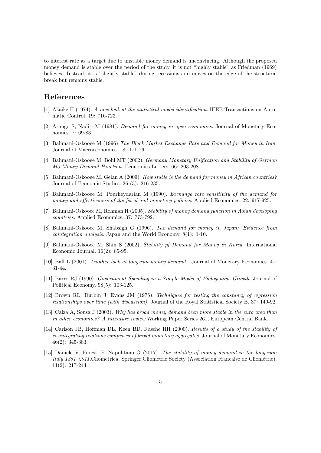to interest rate as a target due to unstable money demand is unconvincing. Although the proposed money demand is stable over the period of the study, it is not "highly stable" as Friedman (1969) believes. Instead, it is "slightly stable" during recessions and moves on the edge of the structural break but remains stable.

#### References

- [1] Akaike H (1974). A new look at the statistical model identification. IEEE Transactions on Automatic Control. 19: 716-723.
- [2] Arango S, Nadiri M (1981). Demand for money in open economies. Journal of Monetary Economics. 7: 69-83.
- [3] Bahmani-Oskooee M (1996) The Black Market Exchange Rate and Demand for Money in Iran. Journal of Macroeconomics. 18: 171-76.
- [4] Bahmani-Oskooee M, Bohl MT (2002). Germany Monetary Unification and Stability of German M3 Money Demand Function. Economics Letters. 66: 203-208.
- [5] Bahmani-Oskooee M, Gelan A (2009). How stable is the demand for money in African countries? Journal of Economic Studies. 36 (3): 216-235.
- [6] Bahmani-Oskooee M, Pourheydarian M (1990). Exchange rate sensitivity of the demand for money and effectiveness of the fiscal and monetary policies. Applied Economics. 22: 917-925.
- [7] Bahmani-Oskooee M, Rehman H (2005). Stability of money demand function in Asian developing countries. Applied Economics. 37: 773-792.
- [8] Bahmani-Oskooee M, Shabsigh G (1996). The demand for money in Japan: Evidence from cointegration analysis. Japan and the World Economy. 8(1): 1-10.
- [9] Bahmani-Oskooee M, Shin S (2002). Stability pf Demand for Money in Korea. International Economic Journal. 16(2): 85-95.
- [10] Ball L (2001). Another look at long-run money demand. Journal of Monetary Economics. 47: 31-44.
- [11] Barro RJ (1990). Government Spending in a Simple Model of Endogenous Growth. Journal of Political Economy. 98(5): 103-125.
- [12] Brown RL, Durbin J, Evans JM (1975). Techniques for testing the constancy of regression relationships over time (with discussion). Journal of the Royal Statistical Society B. 37: 149-92.
- [13] Calza A, Sousa J (2003). Why has broad money demand been more stable in the euro area than in other economies? A literature review.Working Paper Series 261, European Central Bank.
- [14] Carlson JB, Hoffman DL, Keen BD, Rasche RH (2000). Results of a study of the stability of co-integrating relations comprised of broad monetary aggregates. Journal of Monetary Economics. 46(2): 345-383.
- [15] Daniele V, Foresti P, Napolitano O (2017). The stability of money demand in the long-run: Italy 1861–2011. Cliometrica, Springer; Cliometric Society (Association Francaise de Cliométrie). 11(2): 217-244.